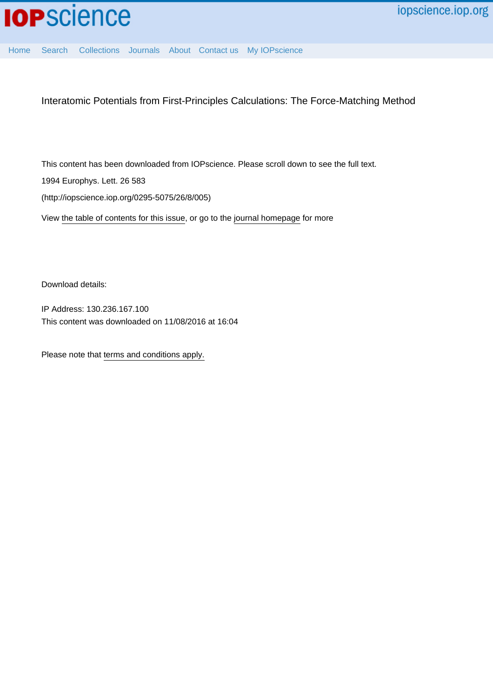

[Home](http://iopscience.iop.org/) [Search](http://iopscience.iop.org/search) [Collections](http://iopscience.iop.org/collections) [Journals](http://iopscience.iop.org/journals) [About](http://iopscience.iop.org/page/aboutioppublishing) [Contact us](http://iopscience.iop.org/contact) [My IOPscience](http://iopscience.iop.org/myiopscience)

Interatomic Potentials from First-Principles Calculations: The Force-Matching Method

This content has been downloaded from IOPscience. Please scroll down to see the full text. 1994 Europhys. Lett. 26 583 (http://iopscience.iop.org/0295-5075/26/8/005)

View [the table of contents for this issue](http://iopscience.iop.org/0295-5075/26/8), or go to the [journal homepage](http://iopscience.iop.org/0295-5075) for more

Download details:

IP Address: 130.236.167.100 This content was downloaded on 11/08/2016 at 16:04

Please note that [terms and conditions apply.](iopscience.iop.org/page/terms)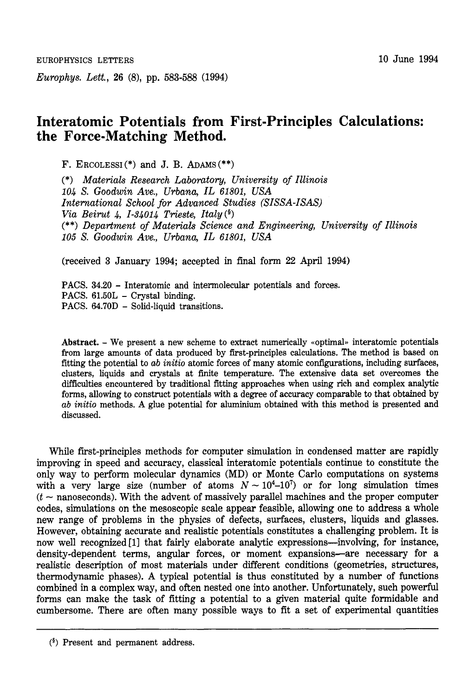*Europhys. Lett.,* **26** (8), pp. 583-588 (1994)

## **Interatomic Potentials from First-Principles Calculations: the Force-Matching Method.**

F. ERCOLESSI $(*)$  and J. B. ADAMS $(*)$ 

(\*) *Materials Research Laboratory, University* of *Illinois 104 S. Goodwin Ave., Urbana, IL 61801, USA International School for Advanced Studies (SISSA-ISAS) Via Beirut 4, 1-34014 Trieste, Italy* (§) (\*\*) *Department* of *Materials Science and Engineering, University* of *Illinois 105 S. Goodwin Ave., Urbana, IL 61801, USA* 

(received **3** January 1994; accepted in final form **22** April 1994)

PACS. **34.20** - Interatomic and intermolecular potentials and forces. PACS.  $61.50L$  – Crystal binding. PACS. **64.70D** - Solid-liquid transitions.

Abstract. – We present a new scheme to extract numerically «optimal» interatomic potentials from large amounts of data produced by first-principles calculations. The method is based on fitting the potential to *cab initio* atomic forces of many atomic configurations, including surfaces, clusters, liquids and crystals at finite temperature. The extensive data set overcomes the difficulties encountered by traditional fitting approaches when using rich and complex analytic forms, allowing to construct potentials with a degree of accuracy comparable to that obtained by *ab initio* methods. A glue potential for aluminium obtained with this method is presented and discussed.

While first-principles methods for computer simulation in condensed matter are rapidly improving in speed and accuracy, classical interatomic potentials continue to constitute the only way to perform molecular dynamics (MD) or Monte Carlo computations on systems with a very large size (number of atoms  $N \sim 10^4-10^7$ ) or for long simulation times  $(t -$  nanoseconds). With the advent of massively parallel machines and the proper computer codes, simulations on the mesoscopic scale appear feasible, allowing one to address a whole new range of problems in the physics of defects, surfaces, clusters, liquids and glasses. However, obtaining accurate and realistic potentials constitutes a challenging problem. It is now well recognized [1] that fairly elaborate analytic expressions—involving, for instance, density-dependent terms, angular forces, or moment expansions-are necessary for a realistic description of most materials under different conditions (geometries, structures, thermodynamic phases). A typical potential is thus constituted by a number of functions combined in a complex way, and often nested one into another. Unfortunately, such powerful forms can make the task of fitting a potential to a given material quite formidable and cumbersome. There are often many possible ways to fit a set of experimental quantities

**<sup>(5)</sup>** Present and permanent address.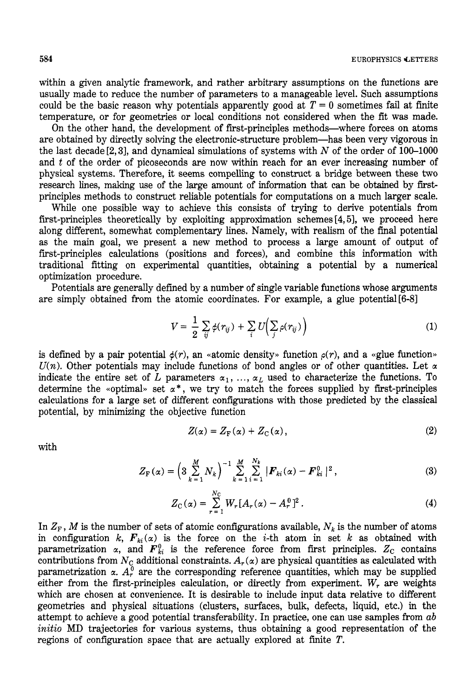within a given analytic framework, and rather arbitrary assumptions on the functions are usually made to reduce the number of parameters to a manageable level. Such assumptions could be the basic reason why potentials apparently good at  $T = 0$  sometimes fail at finite temperature, or for geometries or local conditions not considered when the fit was made.

On the other hand, the development of frst-principles methods-where forces on atoms are obtained by directly solving the electronic-structure problem-has been very vigorous in the last decade[2,3], and dynamical simulations of systems with *N* of the order of 100-1000 and *t* of the order of picoseconds are now within reach for an ever increasing number of physical systems. Therefore, it seems compelling to construct a bridge between these two research lines, making use of the large amount of information that can be obtained by firstprinciples methods to construct reliable potentials for computations on a much larger scale.

While one possible way to achieve this consists of trying to derive potentials from first-principles theoretically by exploiting approximation schemes **[4,5],** we proceed here along different, somewhat complementary lines. Namely, with realism of the final potential as the main goal, we present a new method to process a large amount of output of first-principles calculations (positions and forces), and combine this information with traditional fitting on experimental quantities, obtaining a potential by a numerical optimization procedure.

Potentials are generally defined by a number of single variable functions whose arguments are simply obtained from the atomic coordinates. For example, a glue potential[6-8]

$$
V = \frac{1}{2} \sum_{ij} \phi(r_{ij}) + \sum_{i} U\left(\sum_{j} \rho(r_{ij})\right)
$$
 (1)

is defined by a pair potential  $\phi(r)$ , an «atomic density» function  $\rho(r)$ , and a «glue function»  $U(n)$ . Other potentials may include functions of bond angles or of other quantities. Let  $\alpha$ indicate the entire set of *L* parameters  $\alpha_1, \ldots, \alpha_L$  used to characterize the functions. To determine the «optimal» set  $\alpha^*$ , we try to match the forces supplied by first-principles calculations for a large set of different configurations with those predicted by the classical potential, by minimizing the objective function

$$
Z(\alpha) = Z_{\rm F}(\alpha) + Z_{\rm C}(\alpha), \qquad (2)
$$

with

$$
Z_{\mathbf{F}}(\alpha) = \left(3\sum_{k=1}^{M} N_k\right)^{-1} \sum_{k=1}^{M} \sum_{i=1}^{N_k} |\mathbf{F}_{ki}(\alpha) - \mathbf{F}_{ki}^0|^2, \qquad (3)
$$

$$
Z_{\rm C}(\alpha) = \sum_{r=1}^{N_{\rm C}} W_r [A_r(\alpha) - A_r^0]^2.
$$
 (4)

In  $Z_F$ , *M* is the number of sets of atomic configurations available,  $N_k$  is the number of atoms in configuration *k,*  $F_{ki}(\alpha)$  is the force on the *i*-th atom in set k as obtained with parametrization  $\alpha$ , and  $\mathbf{F}_{ki}^0$  is the reference force from first principles.  $Z_c$  contains contributions from  $N_c$  additional constraints.  $A_r(\alpha)$  are physical quantities as calculated with parametrization  $\alpha$ .  $A_r^0$  are the corresponding reference quantities, which may be supplied either from the first-principles calculation, or directly from experiment.  $W_r$  are weights which are chosen at convenience. It is desirable to include input data relative to different geometries and physical situations (clusters, surfaces, bulk, defects, liquid, etc.) in the attempt to achieve a good potential transferability. In practice, one can use samples from *ab*  initio MD trajectories for various systems, thus obtaining a good representation of the regions of configuration space that are actually explored at finite *T.*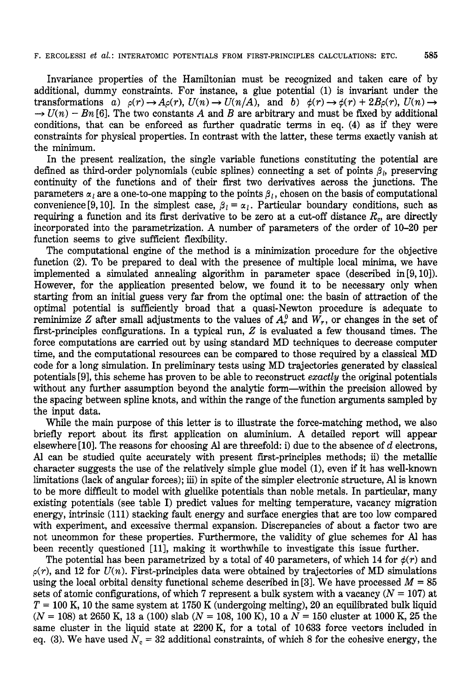Invariance properties of the Hamiltonian must be recognized and taken care of by additional, dummy constraints. For instance, a glue potential (1) is invariant under the transformations *a)*  $\rho(r) \to A\rho(r)$ ,  $U(n) \to U(n/A)$ , and *b)*  $\phi(r) \to \phi(r) + 2B\rho(r)$ ,  $U(n) \to$  $\rightarrow U(n) - Bn$  [6]. The two constants A and B are arbitrary and must be fixed by additional conditions, that can be enforced as further quadratic terms in eq. (4) as if they were constraints for physical properties. In contrast with the latter, these terms exactly vanish at the minimum.

In the present realization, the single variable functions constituting the potential are defined as third-order polynomials (cubic splines) connecting a set of points  $\beta_i$ , preserving continuity of the functions and of their first two derivatives across the junctions. The parameters  $\alpha_l$  are a one-to-one mapping to the points  $\beta_l$ , chosen on the basis of computational convenience [9, 10]. In the simplest case,  $\beta_l = \alpha_l$ . Particular boundary conditions, such as requiring a function and its first derivative to be zero at a cut-off distance *Re,* are directly incorporated into the parametrization. **A** number of parameters of the order of 10-20 per function seems to give sufficient flexibility.

The computational engine of the method is a minimization procedure for the objective function (2). To be prepared to deal with the presence of multiple local minima, we have implemented a simulated annealing algorithm in parameter space (described in  $[9, 10]$ ). However, for the application presented below, we found it to be necessary only when starting from an initial guess very far from the optimal one: the basin of attraction of the optimal potential is sufficiently broad that a quasi-Newton procedure is adequate to reminimize *Z* after small adjustments to the values of  $A_r^0$  and  $W_r$ , or changes in the set of first-principles configurations. In a typical run, *2* is evaluated a few thousand times. The force computations are carried out by using standard MD techniques to decrease computer time, and the computational resources can be compared to those required by a classical MD code for a long simulation. In preliminary tests using MD trajectories generated by classical potentials 191, this scheme has proven to be able to reconstruct *exactly* the original potentials without any further assumption beyond the analytic form—within the precision allowed by the spacing between spline knots, and within the range of the function arguments sampled by the input data.

While the main purpose of this letter is to illustrate the force-matching method, we also briefly report about its first application on aluminium. **A** detailed report will appear elsewhere [lo]. The reasons for choosing Al are threefold: i) due to the absence of *d* electrons, Al can be studied quite accurately with present first-principles methods; **ii)** the metallic character suggests the use of the relatively simple glue model (1), even if it has well-known limitations (lack of angular forces); iii) in spite of the simpler electronic structure, Al is known to be more difficult to model with gluelike potentials than noble metals. In particular, many existing potentials (see table I) predict values for melting temperature, vacancy migration energy, intrinsic (111) stacking fault energy and surface energies that are too low compared with experiment, and excessive thermal expansion. Discrepancies of about a factor two are not uncommon for these properties. Furthermore, the validity of glue schemes for Al has been recently questioned [HI, making it worthwhile to investigate this issue further.

The potential has been parametrized by a total of 40 parameters, of which 14 for  $\phi(r)$  and  $p(r)$ , and 12 for  $U(n)$ . First-principles data were obtained by trajectories of MD simulations using the local orbital density functional scheme described in [3]. We have processed  $M = 85$ sets of atomic configurations, of which  $7$  represent a bulk system with a vacancy  $(N = 107)$  at  $T = 100$  K, 10 the same system at 1750 K (undergoing melting), 20 an equilibrated bulk liquid *(N* = 108) at 2650 K, 13 a (100) slab *(N* = 108, 100 K), 10 a N = 150 cluster at 1000 K, 25 the same cluster in the liquid state at 2200 K, for a total of 10633 force vectors included in eq. (3). We have used  $N_c = 32$  additional constraints, of which 8 for the cohesive energy, the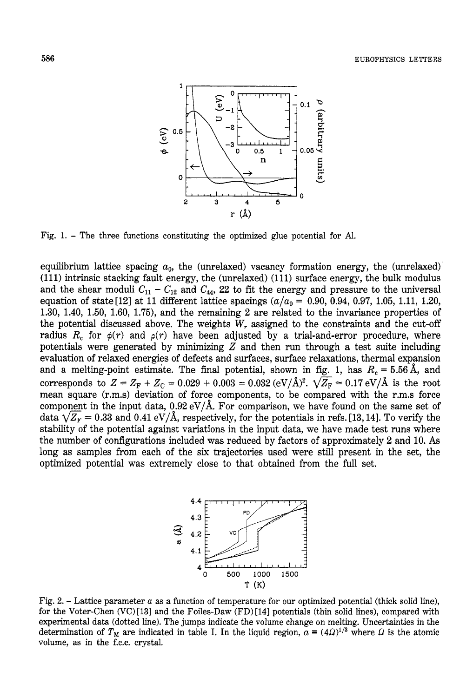

Fig. 1. - The three functions constituting the optimized glue potential for Al.

equilibrium lattice spacing  $a_0$ , the (unrelaxed) vacancy formation energy, the (unrelaxed) (111) intrinsic stacking fault energy, the (unrelaxed) (111) surface energy, the bulk modulus and the shear moduli  $C_{11} - C_{12}$  and  $C_{44}$ , 22 to fit the energy and pressure to the universal equation of state<sup>[12]</sup> at 11 different lattice spacings  $(a/a_0 = 0.90, 0.94, 0.97, 1.05, 1.11, 1.20,$ 1.30, 1.40, 1.50, 1.60, 1.75), and the remaining 2 are related to the invariance properties of the potential discussed above. The weights *W,* assigned to the constraints and the cut-off radius  $R_c$  for  $\phi(r)$  and  $\rho(r)$  have been adjusted by a trial-and-error procedure, where potentials were generated by minimizing *Z* and then run through a test suite including evaluation of relaxed energies of defects and surfaces, surface relaxations, thermal expansion and a melting-point estimate. The final potential, shown in fig. 1, has  $R_c = 5.56$  Å, and corresponds to  $Z = Z_F + Z_C = 0.029 + 0.003 = 0.032 \, (eV/\text{\AA})^2$ .  $\sqrt{Z_F} \approx 0.17 \, \text{eV/\AA}$  is the root mean square (r.m.s) deviation of force components, to be compared with the r.m.s force component in the input data,  $0.92 \text{ eV}/\text{\AA}$ . For comparison, we have found on the same set of data  $\sqrt{Z_F} \approx 0.33$  and  $0.41 \text{ eV}/\$ component in the input data,  $0.92 \text{ eV/A}$ . For comparison, we have found on the same set of data  $\sqrt{Z_F} \approx 0.33$  and  $0.41 \text{ eV/A}$ , respectively, for the potentials in refs. [13, 14]. To verify the stability of the potential against variations in the input data, we have made test runs where the number of configurations included was reduced by factors of approximately 2 and 10. As long as samples from each of the six trajectories used were still present in the set, the optimized potential was extremely close to that obtained from the full set.



Fig. 2.  $-$  Lattice parameter  $a$  as a function of temperature for our optimized potential (thick solid line), for the Voter-Chen (VC) **[131** and the Foiles-Daw (FD) [141 potentials (thin solid lines), compared with experimental data (dotted line). The jumps indicate the volume change on melting. Uncertainties in the determination of  $T_M$  are indicated in table I. In the liquid region,  $\alpha = (4\Omega)^{1/3}$  where  $\Omega$  is the atomic volume, as in the f.c.c. crystal.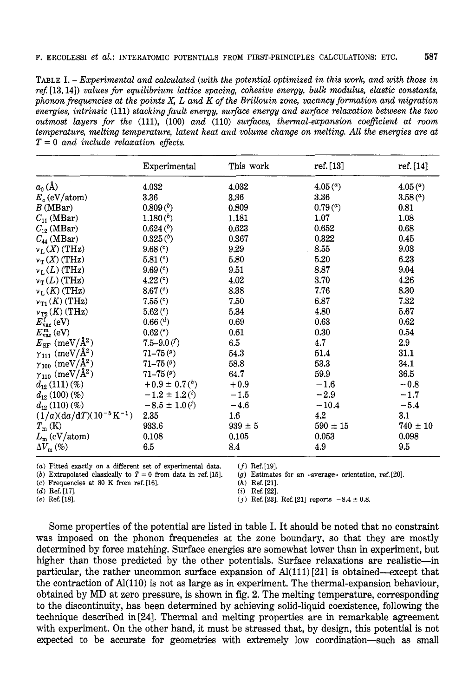TABLE I. *-Experimental and calculated (with the potential optimized in this work, and with those in re\$* [ 13,141) *values for equilibrium lattice spacing, cohesive energy, bulk modulus, elastic constants, phononfiequencies at the points X, L and K of the Brillouin zone, vacancy fomtion and migration energies, intrinsic* (111) *stacking fault energy, surface energy and surface relaxation between the two outmost layers for the* (lll), (100) *and* (110) *suflaces, themal-expansion coeflcient at room temperature, melting temperature, latent heat and volume change on melting. All the energies are at T* = *0 and include relaxation effects.* 

|                                                   | Experimental                   | This work        | ref. [13]           | ref.[14]            |
|---------------------------------------------------|--------------------------------|------------------|---------------------|---------------------|
| $a_0(A)$                                          | 4.032                          | 4.032            | 4.05 <sup>(a)</sup> | 4.05 <sup>(a)</sup> |
| $E_c$ (eV/atom)                                   | 3.36                           | 3.36             | 3.36                | 3.58 <sup>(a)</sup> |
| B(MBar)                                           | 0.809 <sup>(b)</sup>           | 0.809            | 0.79 <sup>(a)</sup> | 0.81                |
| $C_{11}$ (MBar)                                   | 1.180 <sup>(b)</sup>           | 1.181            | 1.07                | 1.08                |
| $C_{12}$ (MBar)                                   | $0.624(^{b})$                  | 0.623            | 0.652               | 0.68                |
| $C_{44}$ (MBar)                                   | $0.325(^{b})$                  | 0.367            | 0.322               | 0.45                |
| $v_L(X)$ (THz)                                    | 9.68 <sup>(c)</sup>            | 9.29             | 8.55                | 9.03                |
| $v_T(X)$ (THz)                                    | 5.81 <sup>(c)</sup>            | 5.80             | 5.20                | 6.23                |
| $v_L(L)$ (THz)                                    | 9.69 <sup>(c)</sup>            | 9.51             | 8.87                | 9.04                |
| $v_T(L)$ (THz)                                    | 4.22 <sup>(c)</sup>            | 4.02             | 3.70                | 4.26                |
| $v_L(K)$ (THz)                                    | 8.67 <sup>(c)</sup>            | 8.38             | 7.76                | 8.30                |
| $v_{\text{T1}}(K)$ (THz)                          | $7.55(^c)$                     | 7.50             | 6.87                | 7.32                |
| $v_{\rm T2}(K)$ (THz)                             | 5.62 <sup>(c)</sup>            | 5.34             | 4.80                | 5.67                |
| $E_{\text{vac}}^{\text{f}}\left(\text{eV}\right)$ | 0.66 <sup>(d)</sup>            | 0.69             | 0.63                | 0.62                |
| $E_{\rm vac}^{\, \rm m}$ (eV)                     | 0.62 <sup>(e)</sup>            | 0.61             | 0.30                | 0.54                |
| $E_{\rm SF}$ (meV/Å <sup>2</sup> )                | 7.5–9.0 $($                    | 6.5              | 4.7                 | 2.9                 |
| $\gamma_{111}$ (meV/Å <sup>2</sup> )              | $71 - 75(9)$                   | 54.3             | 51.4                | 31.1                |
| $\gamma_{100}~(\rm meV/\AA^2)$                    | $71 - 75(9)$                   | 58.8             | 53.3                | 34.1                |
| $\gamma_{110}$ (meV/Å <sup>2</sup> )              | $71 - 75(9)$                   | 64.7             | 59.9                | 36.5                |
| $d_{12}\left(111\right)\left(\% \right)$          | $+0.9 \pm 0.7^{h}$             | $+0.9$           | $-1.6$              | $-0.8$              |
| $d_{12}(100)(%$                                   | $-1.2 \pm 1.2$ <sup>(i</sup> ) | $-1.5$           | $-2.9$              | $-1.7$              |
| $d_{12}(110)(%$                                   | $-8.5 \pm 1.0\,(i)$            | $-4.6$           | $-10.4$             | $-5.4$              |
| $(1/a)(da/dT)(10^{-5}K^{-1})$                     | 2.35                           | $1.6\phantom{0}$ | 4.2                 | 3.1                 |
| $T_{\rm m}$ (K)                                   | 933.6                          | $939 \pm 5$      | $590 \pm 15$        | $740 \pm 10$        |
| $L_m$ (eV/atom)                                   | 0.108                          | 0.105            | 0.053               | 0.098               |
| $\Delta V_{\rm m}(\%)$                            | 6.5                            | 8.4              | 4.9                 | 9.5                 |

(a) Fitted exactly on a different set of experimental data. *(f)* Ref.[19].

*(b)* Extrapolated classically to  $T = 0$  from data in ref. [15]. *(g)* Estimate (c) Frequencies at 80 K from ref. [16]. *(h)* Ref. [21].

 $(g)$  Estimates for an «average» orientation, ref. [20].

*(c)* Frequencies at 80 K from ref.[16]. *(h)* Ref.[21].

*(d)* Ref. [17]. *(i)* Ref.[22].

(*j*) Ref. [23]. Ref. [21] reports  $-8.4 \pm 0.8$ .

Some properties of the potential are listed in table I. It should be noted that no constraint was imposed on the phonon frequencies at the zone boundary, so that they are mostly determined by force matching. Surface energies are somewhat lower than in experiment, but higher than those predicted by the other potentials. Surface relaxations are realistic—in particular, the rather uncommon surface expansion of Al(111)[21] is obtained-except that the contraction of **Al(110)** is not as large as in experiment. The thermal-expansion behaviour, obtained by MD at zero pressure, is shown in fig. **2.** The melting temperature, corresponding to the discontinuity, has been determined by achieving solid-liquid coexistence, following the technique described in **[24].** Thermal and melting properties are in remarkable agreement with experiment. On the other hand, it must be stressed that, by design, this potential is not expected to be accurate for geometries with extremely low coordination-such as **small**